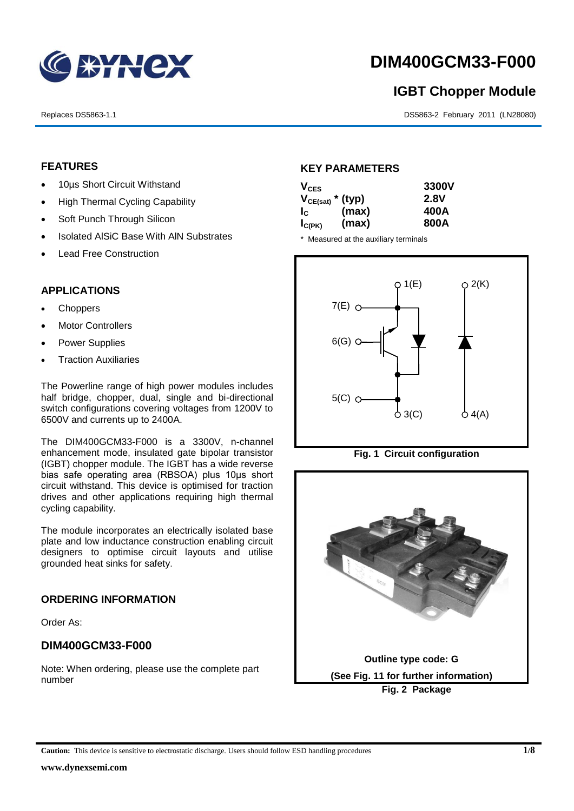

# **DIM400GCM33-F000**

## **IGBT Chopper Module**

Replaces DS5863-1.1 DS5863-2 February 2011 (LN28080)

#### **FEATURES**

- 10us Short Circuit Withstand
- High Thermal Cycling Capability
- Soft Punch Through Silicon
- Isolated AISiC Base With AIN Substrates
- Lead Free Construction

#### **APPLICATIONS**

- Choppers
- Motor Controllers
- Power Supplies
- Traction Auxiliaries

The Powerline range of high power modules includes half bridge, chopper, dual, single and bi-directional switch configurations covering voltages from 1200V to 6500V and currents up to 2400A.

The DIM400GCM33-F000 is a 3300V, n-channel enhancement mode, insulated gate bipolar transistor (IGBT) chopper module. The IGBT has a wide reverse bias safe operating area (RBSOA) plus 10μs short circuit withstand. This device is optimised for traction drives and other applications requiring high thermal cycling capability.

The module incorporates an electrically isolated base plate and low inductance construction enabling circuit designers to optimise circuit layouts and utilise grounded heat sinks for safety.

#### **ORDERING INFORMATION**

Order As:

#### **DIM400GCM33-F000**

Note: When ordering, please use the complete part number

#### **KEY PARAMETERS**

| $V_{CES}$   |                       | 3300V |
|-------------|-----------------------|-------|
|             | $V_{CE(sat)}$ * (typ) | 2.8V  |
| $I_{\rm C}$ | (max)                 | 400A  |
| $I_{C(PK)}$ | (max)                 | 800A  |

\* Measured at the auxiliary terminals





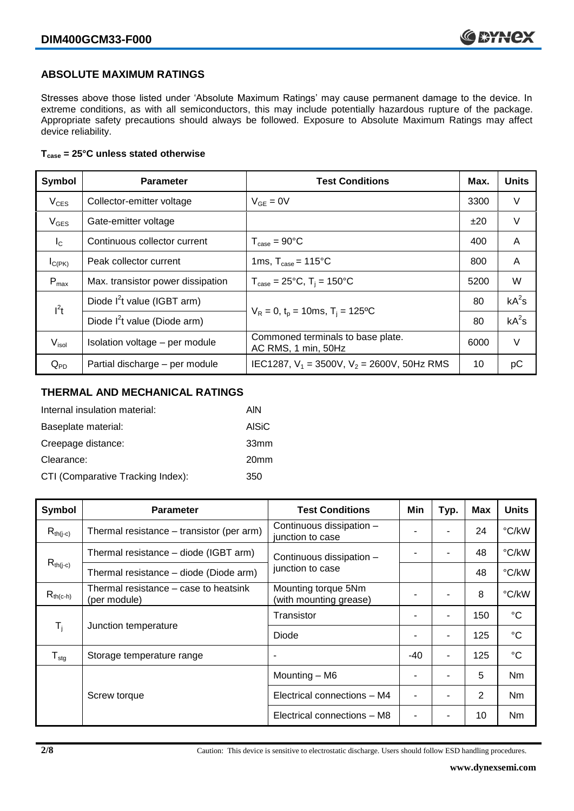#### **ABSOLUTE MAXIMUM RATINGS**

Stresses above those listed under 'Absolute Maximum Ratings' may cause permanent damage to the device. In extreme conditions, as with all semiconductors, this may include potentially hazardous rupture of the package. Appropriate safety precautions should always be followed. Exposure to Absolute Maximum Ratings may affect device reliability.

#### **Tcase = 25°C unless stated otherwise**

| Symbol           | <b>Test Conditions</b><br><b>Parameter</b>                       |                                                          | Max. | <b>Units</b> |
|------------------|------------------------------------------------------------------|----------------------------------------------------------|------|--------------|
| $V_{CES}$        | Collector-emitter voltage                                        | $V_{GE} = 0V$                                            |      | V            |
| $V_{GES}$        | Gate-emitter voltage                                             |                                                          | ±20  | $\vee$       |
| $I_{\rm C}$      | Continuous collector current                                     | $T_{\text{case}} = 90^{\circ}C$                          | 400  | A            |
| $I_{C(PK)}$      | 1ms, $T_{\text{case}} = 115^{\circ}$ C<br>Peak collector current |                                                          | 800  | A            |
| $P_{\text{max}}$ | Max. transistor power dissipation                                | $T_{\text{case}} = 25^{\circ}C$ , $T_i = 150^{\circ}C$   |      | W            |
| $I^2t$           | Diode $I^2$ t value (IGBT arm)                                   |                                                          | 80   | $kA^2s$      |
|                  | Diode $I^2$ t value (Diode arm)                                  | $V_R = 0$ , $t_p = 10$ ms, $T_i = 125$ °C                | 80   | $kA^2s$      |
| $V_{\sf isol}$   | Isolation voltage - per module                                   | Commoned terminals to base plate.<br>AC RMS, 1 min, 50Hz |      | V            |
| $Q_{PD}$         | Partial discharge - per module                                   | IEC1287, $V_1$ = 3500V, $V_2$ = 2600V, 50Hz RMS          | 10   | рC           |

#### **THERMAL AND MECHANICAL RATINGS**

| Internal insulation material:     | AIN              |
|-----------------------------------|------------------|
| Baseplate material:               | <b>AISiC</b>     |
| Creepage distance:                | 33mm             |
| Clearance:                        | 20 <sub>mm</sub> |
| CTI (Comparative Tracking Index): | 350              |

| Symbol                    | <b>Parameter</b>                                      | <b>Test Conditions</b>                        | Min   | Typ. | <b>Max</b> | <b>Units</b>    |
|---------------------------|-------------------------------------------------------|-----------------------------------------------|-------|------|------------|-----------------|
| $R_{th(i-c)}$             | Thermal resistance – transistor (per arm)             | Continuous dissipation -<br>junction to case  |       |      | 24         | °C/kW           |
|                           | Thermal resistance – diode (IGBT arm)                 | Continuous dissipation -                      |       | ۰    | 48         | °C/kW           |
| $R_{th(j-c)}$             | Thermal resistance - diode (Diode arm)                | junction to case                              |       |      | 48         | °C/kW           |
| $R_{th(c-h)}$             | Thermal resistance - case to heatsink<br>(per module) | Mounting torque 5Nm<br>(with mounting grease) |       | ۰    | 8          | °C/kW           |
| $\mathsf{T}_{\mathsf{i}}$ | Junction temperature                                  | Transistor                                    | ٠     | ۰    | 150        | $^{\circ}C$     |
|                           |                                                       | Diode                                         |       | ۰    | 125        | $^{\circ}C$     |
| $T_{\text{stg}}$          | Storage temperature range                             | ٠                                             | $-40$ | ۰    | 125        | $\rm ^{\circ}C$ |
|                           |                                                       | Mounting - M6                                 |       | ۰    | 5          | Nm              |
|                           | Screw torque                                          | Electrical connections - M4                   |       |      | 2          | Nm              |
|                           |                                                       | Electrical connections - M8                   |       | -    | 10         | Nm              |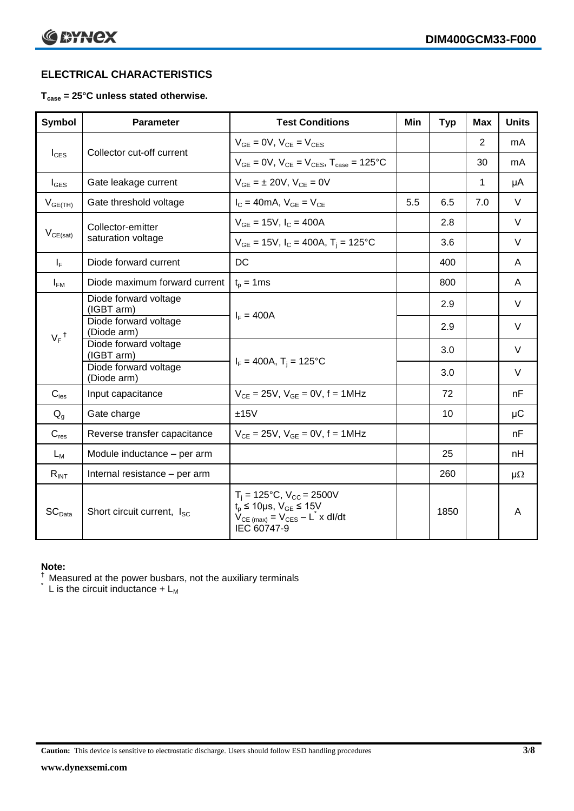### **ELECTRICAL CHARACTERISTICS**

#### **Tcase = 25°C unless stated otherwise.**

| <b>Symbol</b>                                 | <b>Parameter</b>                     | <b>Test Conditions</b>                                                                                                                                           | Min | <b>Typ</b> | <b>Max</b> | <b>Units</b> |
|-----------------------------------------------|--------------------------------------|------------------------------------------------------------------------------------------------------------------------------------------------------------------|-----|------------|------------|--------------|
|                                               |                                      | $V_{GE} = 0V$ , $V_{CE} = V_{CES}$                                                                                                                               |     |            | 2          | mA           |
| Collector cut-off current<br>$I_{\text{CES}}$ |                                      | $V_{GF} = 0V$ , $V_{CF} = V_{CFS}$ , $T_{case} = 125^{\circ}C$                                                                                                   |     |            | 30         | mA           |
| $I_{\text{GES}}$                              | Gate leakage current                 | $V_{GF} = \pm 20V$ , $V_{CF} = 0V$                                                                                                                               |     |            | 1          | μA           |
| $V_{GE(TH)}$                                  | Gate threshold voltage               | $I_C = 40mA$ , $V_{GE} = V_{CE}$                                                                                                                                 | 5.5 | 6.5        | 7.0        | $\vee$       |
|                                               | Collector-emitter                    | $V_{GE} = 15V$ , $I_C = 400A$                                                                                                                                    |     | 2.8        |            | $\vee$       |
| $V_{CE(sat)}$                                 | saturation voltage                   | $V_{GE}$ = 15V, $I_C$ = 400A, T <sub>i</sub> = 125°C                                                                                                             |     | 3.6        |            | $\vee$       |
| $I_F$                                         | Diode forward current                | DC                                                                                                                                                               |     | 400        |            | A            |
| $I_{FM}$                                      | Diode maximum forward current        | $t_p = 1$ ms                                                                                                                                                     |     | 800        |            | A            |
|                                               | Diode forward voltage<br>(IGBT arm)  |                                                                                                                                                                  |     | 2.9        |            | $\vee$       |
| $V_F$ <sup>†</sup>                            | Diode forward voltage<br>(Diode arm) | $I_F = 400A$                                                                                                                                                     |     | 2.9        |            | $\vee$       |
|                                               | Diode forward voltage<br>(IGBT arm)  |                                                                                                                                                                  |     | 3.0        |            | $\vee$       |
|                                               | Diode forward voltage<br>(Diode arm) | $I_F = 400A$ , $T_i = 125^{\circ}C$                                                                                                                              |     | 3.0        |            | $\vee$       |
| $C_{\mathsf{ies}}$                            | Input capacitance                    | $V_{CE} = 25V$ , $V_{GE} = 0V$ , $f = 1MHz$                                                                                                                      |     | 72         |            | nF           |
| $Q_q$                                         | Gate charge                          | ±15V                                                                                                                                                             |     | 10         |            | $\mu$ C      |
| $C_{res}$                                     | Reverse transfer capacitance         | $V_{CE} = 25V$ , $V_{GE} = 0V$ , f = 1MHz                                                                                                                        |     |            |            | nF           |
| $L_M$                                         | Module inductance - per arm          |                                                                                                                                                                  |     | 25         |            | nH           |
| $R_{INT}$                                     | Internal resistance - per arm        |                                                                                                                                                                  |     | 260        |            | $\mu\Omega$  |
| $SC_{Data}$                                   | Short circuit current, Isc.          | $T_i = 125$ °C, V <sub>CC</sub> = 2500V<br>$t_p \le 10 \mu s$ , $V_{GE} \le 15V$<br>$V_{CE \text{(max)}} = V_{CES} - L^{\dagger} x \text{ dI/dt}$<br>IEC 60747-9 |     | 1850       |            | A            |

#### **Note:**

 $\dagger$  Measured at the power busbars, not the auxiliary terminals

 $\check{}$  L is the circuit inductance + L<sub>M</sub>

**Caution:** This device is sensitive to electrostatic discharge. Users should follow ESD handling procedures **3/8**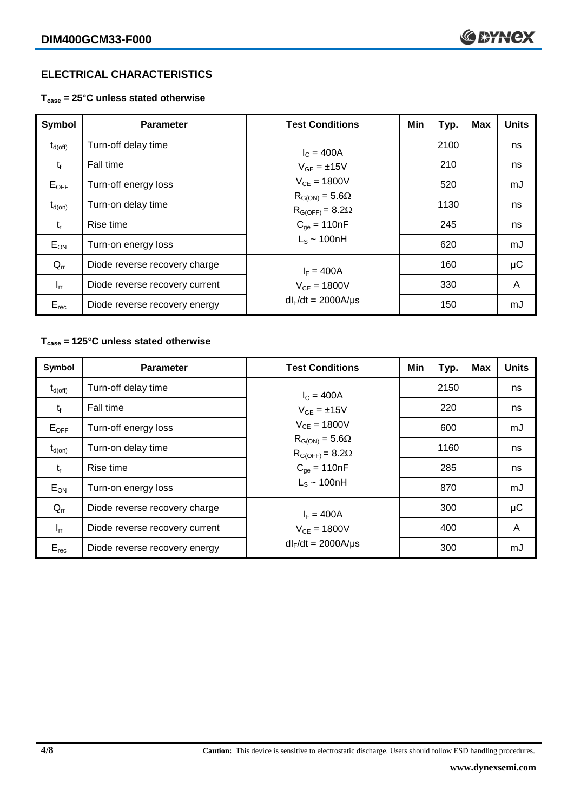#### **ELECTRICAL CHARACTERISTICS**

**Tcase = 25°C unless stated otherwise**

| Symbol              | <b>Parameter</b>                              | <b>Test Conditions</b>                              | Min | Typ. | <b>Max</b> | <b>Units</b> |
|---------------------|-----------------------------------------------|-----------------------------------------------------|-----|------|------------|--------------|
| $t_{d(\text{off})}$ | Turn-off delay time                           | $I_c = 400A$                                        |     | 2100 |            | ns           |
| $t_{f}$             | Fall time                                     | $V_{GE} = \pm 15V$                                  |     | 210  |            | ns           |
| $E_{OFF}$           | Turn-off energy loss                          | $V_{CF} = 1800V$                                    |     | 520  |            | mJ           |
| $t_{d(on)}$         | Turn-on delay time                            | $R_{G(ON)} = 5.6\Omega$<br>$R_{G(OFF)} = 8.2\Omega$ |     | 1130 |            | ns           |
| $t_{r}$             | Rise time                                     | $C_{\text{qe}} = 110nF$                             |     | 245  |            | ns           |
| $E_{ON}$            | Turn-on energy loss                           | $L_s \sim 100hH$                                    |     | 620  |            | mJ           |
| $Q_{rr}$            | Diode reverse recovery charge<br>$I_F = 400A$ |                                                     |     | 160  |            | μC           |
| $I_{rr}$            | Diode reverse recovery current                | $V_{CF} = 1800V$                                    |     | 330  |            | A            |
| $E_{rec}$           | Diode reverse recovery energy                 | $dl_F/dt = 2000A/\mu s$                             |     | 150  |            | mJ           |

#### **Tcase = 125°C unless stated otherwise**

| Symbol              | <b>Parameter</b>               | <b>Test Conditions</b>                                                                      | Min | Typ. | <b>Max</b> | <b>Units</b> |
|---------------------|--------------------------------|---------------------------------------------------------------------------------------------|-----|------|------------|--------------|
| $t_{d(\text{off})}$ | Turn-off delay time            | $I_c = 400A$                                                                                |     | 2150 |            | ns           |
| $t_{f}$             | Fall time                      | $V_{GF} = \pm 15V$                                                                          |     | 220  |            | ns           |
| $E_{\mathsf{OFF}}$  | Turn-off energy loss           | $V_{CE} = 1800V$<br>$R_{G(ON)} = 5.6\Omega$<br>$R_{G(OFF)} = 8.2\Omega$<br>$C_{qe} = 110nF$ |     | 600  |            | mJ           |
| $t_{d(on)}$         | Turn-on delay time             |                                                                                             |     | 1160 |            | ns           |
| $t_{r}$             | Rise time                      |                                                                                             |     | 285  |            | ns           |
| $E_{ON}$            | Turn-on energy loss            | $L_s \sim 100$ nH                                                                           |     | 870  |            | mJ           |
| $Q_{rr}$            | Diode reverse recovery charge  | $I_F = 400A$                                                                                |     | 300  |            | μC           |
| $I_{rr}$            | Diode reverse recovery current | $V_{CF} = 1800V$                                                                            |     | 400  |            | A            |
| $E_{rec}$           | Diode reverse recovery energy  | $dl_F/dt = 2000A/\mu s$                                                                     |     | 300  |            | mJ           |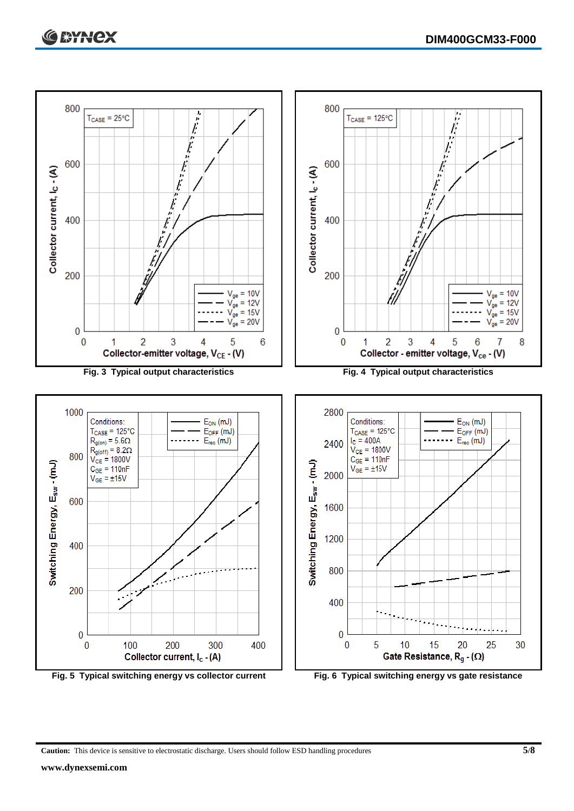

**Caution:** This device is sensitive to electrostatic discharge. Users should follow ESD handling procedures **5/8**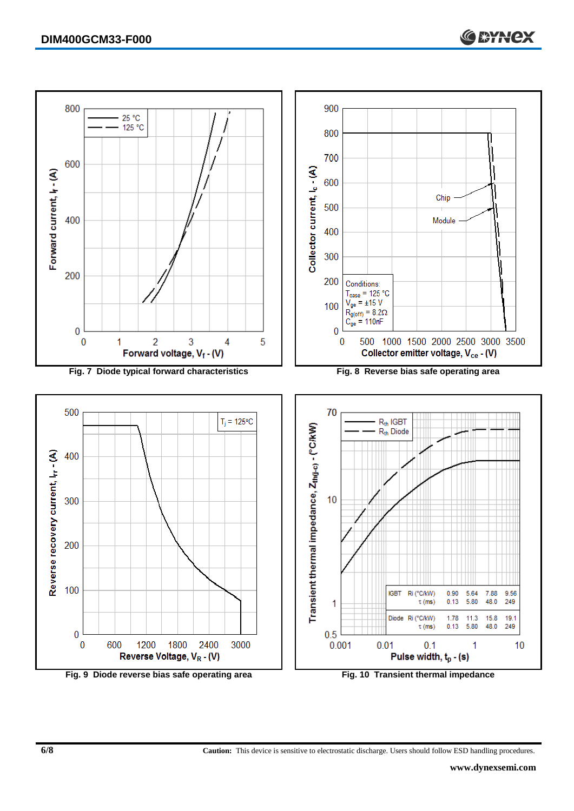

**6/8 Caution:** This device is sensitive to electrostatic discharge. Users should follow ESD handling procedures.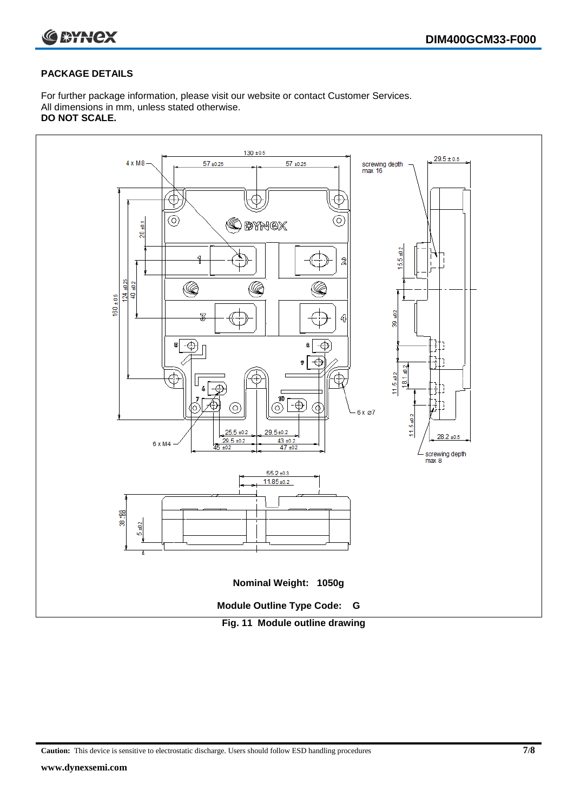

#### **PACKAGE DETAILS**

For further package information, please visit our website or contact Customer Services. All dimensions in mm, unless stated otherwise. **DO NOT SCALE.**



**Caution:** This device is sensitive to electrostatic discharge. Users should follow ESD handling procedures **7/8**